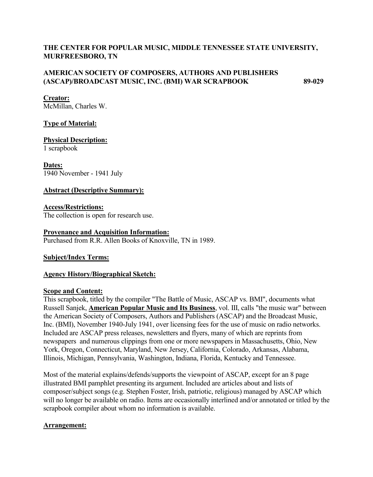# **THE CENTER FOR POPULAR MUSIC, MIDDLE TENNESSEE STATE UNIVERSITY, MURFREESBORO, TN**

### **AMERICAN SOCIETY OF COMPOSERS, AUTHORS AND PUBLISHERS (ASCAP)/BROADCAST MUSIC, INC. (BMI) WAR SCRAPBOOK 89-029**

#### **Creator:**

McMillan, Charles W.

#### **Type of Material:**

# **Physical Description:**

1 scrapbook

#### **Dates:** 1940 November - 1941 July

### **Abstract (Descriptive Summary):**

#### **Access/Restrictions:** The collection is open for research use.

#### **Provenance and Acquisition Information:**

Purchased from R.R. Allen Books of Knoxville, TN in 1989.

#### **Subject/Index Terms:**

#### **Agency History/Biographical Sketch:**

#### **Scope and Content:**

This scrapbook, titled by the compiler "The Battle of Music, ASCAP vs. BMI", documents what Russell Sanjek, **American Popular Music and Its Business**, vol. III, calls "the music war" between the American Society of Composers, Authors and Publishers (ASCAP) and the Broadcast Music, Inc. (BMI), November 1940-July 1941, over licensing fees for the use of music on radio networks. Included are ASCAP press releases, newsletters and flyers, many of which are reprints from newspapers and numerous clippings from one or more newspapers in Massachusetts, Ohio, New York, Oregon, Connecticut, Maryland, New Jersey, California, Colorado, Arkansas, Alabama, Illinois, Michigan, Pennsylvania, Washington, Indiana, Florida, Kentucky and Tennessee.

Most of the material explains/defends/supports the viewpoint of ASCAP, except for an 8 page illustrated BMI pamphlet presenting its argument. Included are articles about and lists of composer/subject songs (e.g. Stephen Foster, Irish, patriotic, religious) managed by ASCAP which will no longer be available on radio. Items are occasionally interlined and/or annotated or titled by the scrapbook compiler about whom no information is available.

#### **Arrangement:**